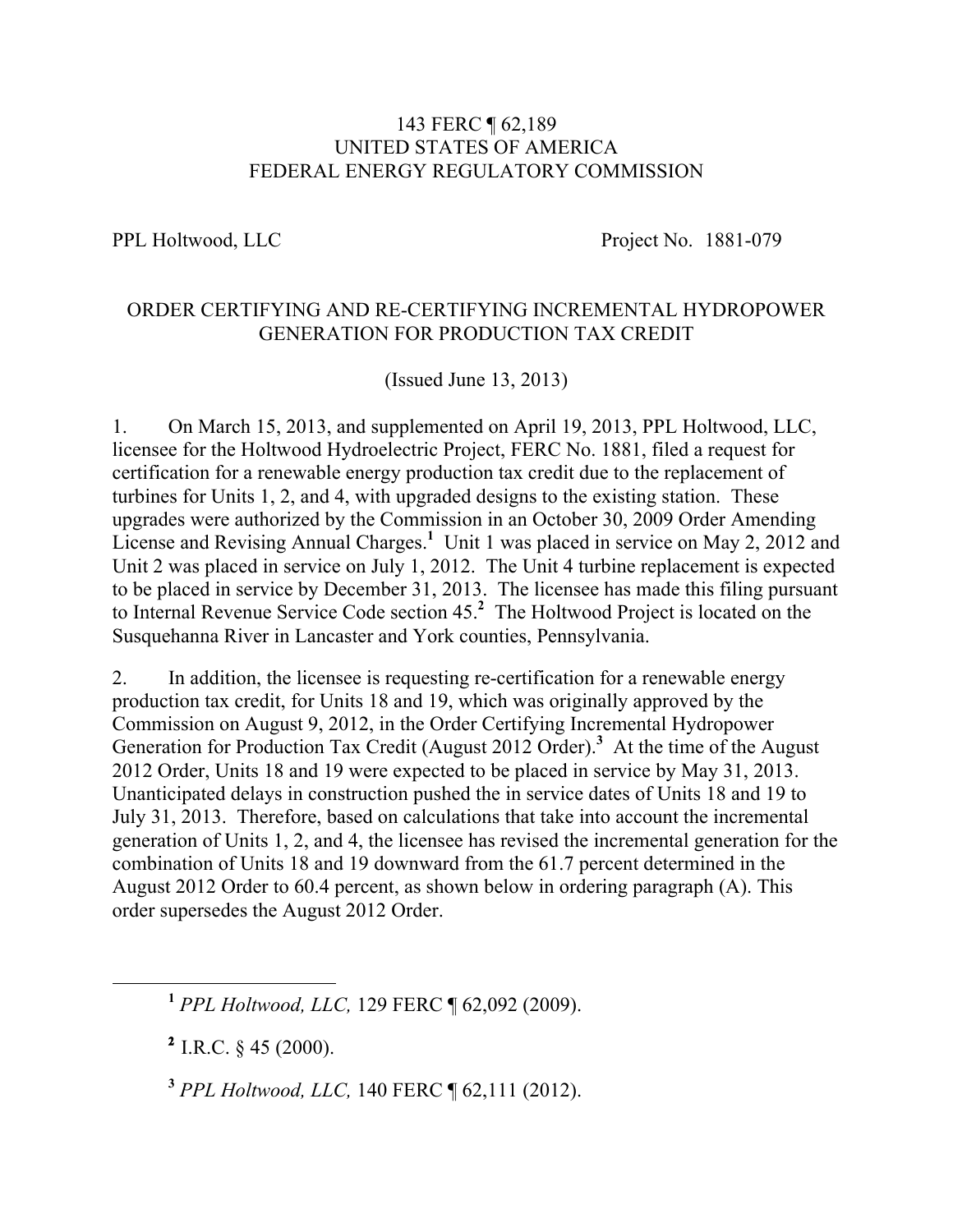## 143 FERC ¶ 62,189 UNITED STATES OF AMERICA FEDERAL ENERGY REGULATORY COMMISSION

PPL Holtwood, LLC Project No. 1881-079

## ORDER CERTIFYING AND RE-CERTIFYING INCREMENTAL HYDROPOWER GENERATION FOR PRODUCTION TAX CREDIT

(Issued June 13, 2013)

1. On March 15, 2013, and supplemented on April 19, 2013, PPL Holtwood, LLC, licensee for the Holtwood Hydroelectric Project, FERC No. 1881, filed a request for certification for a renewable energy production tax credit due to the replacement of turbines for Units 1, 2, and 4, with upgraded designs to the existing station. These upgrades were authorized by the Commission in an October 30, 2009 Order Amending License and Revising Annual Charges.<sup>1</sup> Unit 1 was placed in service on May 2, 2012 and Unit 2 was placed in service on July 1, 2012. The Unit 4 turbine replacement is expected to be placed in service by December 31, 2013. The licensee has made this filing pursuant to Internal Revenue Service Code section 45.**<sup>2</sup>** The Holtwood Project is located on the Susquehanna River in Lancaster and York counties, Pennsylvania.

2. In addition, the licensee is requesting re-certification for a renewable energy production tax credit, for Units 18 and 19, which was originally approved by the Commission on August 9, 2012, in the Order Certifying Incremental Hydropower Generation for Production Tax Credit (August 2012 Order). **3** At the time of the August 2012 Order, Units 18 and 19 were expected to be placed in service by May 31, 2013. Unanticipated delays in construction pushed the in service dates of Units 18 and 19 to July 31, 2013. Therefore, based on calculations that take into account the incremental generation of Units 1, 2, and 4, the licensee has revised the incremental generation for the combination of Units 18 and 19 downward from the 61.7 percent determined in the August 2012 Order to 60.4 percent, as shown below in ordering paragraph (A). This order supersedes the August 2012 Order.

**<sup>1</sup>** *PPL Holtwood, LLC,* 129 FERC ¶ 62,092 (2009).

**<sup>2</sup>** I.R.C. § 45 (2000).

**<sup>3</sup>** *PPL Holtwood, LLC,* 140 FERC ¶ 62,111 (2012).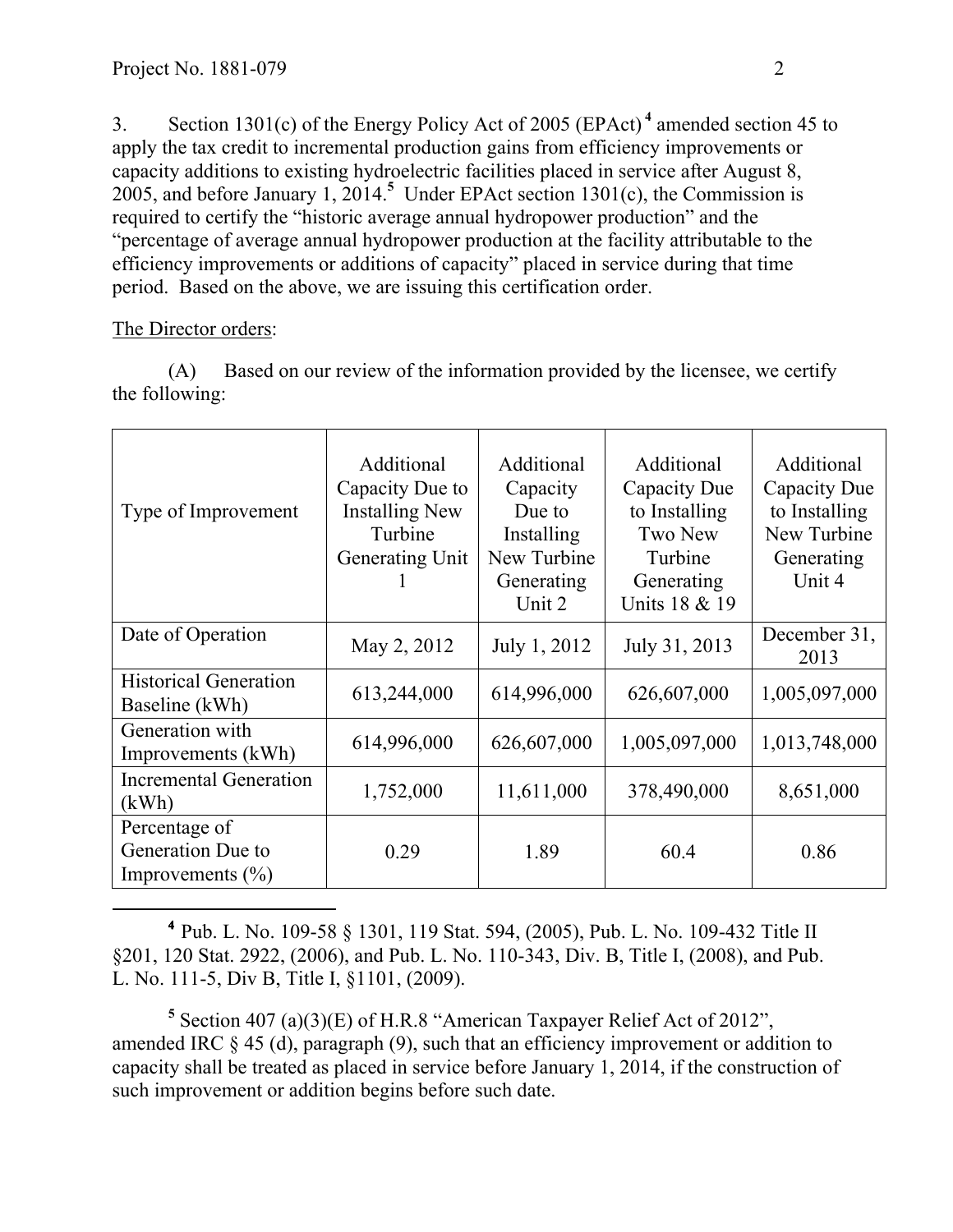3. Section 1301(c) of the Energy Policy Act of 2005 (EPAct) **<sup>4</sup>** amended section 45 to apply the tax credit to incremental production gains from efficiency improvements or capacity additions to existing hydroelectric facilities placed in service after August 8, 2005, and before January 1, 2014.**<sup>5</sup>** Under EPAct section 1301(c), the Commission is required to certify the "historic average annual hydropower production" and the "percentage of average annual hydropower production at the facility attributable to the efficiency improvements or additions of capacity" placed in service during that time period. Based on the above, we are issuing this certification order.

## The Director orders:

(A) Based on our review of the information provided by the licensee, we certify the following:

| Type of Improvement                                        | Additional<br>Capacity Due to<br><b>Installing New</b><br>Turbine<br>Generating Unit | Additional<br>Capacity<br>Due to<br>Installing<br>New Turbine<br>Generating<br>Unit 2 | Additional<br>Capacity Due<br>to Installing<br><b>Two New</b><br>Turbine<br>Generating<br>Units 18 & 19 | Additional<br>Capacity Due<br>to Installing<br>New Turbine<br>Generating<br>Unit 4 |
|------------------------------------------------------------|--------------------------------------------------------------------------------------|---------------------------------------------------------------------------------------|---------------------------------------------------------------------------------------------------------|------------------------------------------------------------------------------------|
| Date of Operation                                          | May 2, 2012                                                                          | July 1, 2012                                                                          | July 31, 2013                                                                                           | December 31,<br>2013                                                               |
| <b>Historical Generation</b><br>Baseline (kWh)             | 613,244,000                                                                          | 614,996,000                                                                           | 626,607,000                                                                                             | 1,005,097,000                                                                      |
| Generation with<br>Improvements (kWh)                      | 614,996,000                                                                          | 626,607,000                                                                           | 1,005,097,000                                                                                           | 1,013,748,000                                                                      |
| <b>Incremental Generation</b><br>(kWh)                     | 1,752,000                                                                            | 11,611,000                                                                            | 378,490,000                                                                                             | 8,651,000                                                                          |
| Percentage of<br>Generation Due to<br>Improvements $(\% )$ | 0.29                                                                                 | 1.89                                                                                  | 60.4                                                                                                    | 0.86                                                                               |

 **<sup>4</sup>** Pub. L. No. 109-58 § 1301, 119 Stat. 594, (2005), Pub. L. No. 109-432 Title II §201, 120 Stat. 2922, (2006), and Pub. L. No. 110-343, Div. B, Title I, (2008), and Pub. L. No. 111-5, Div B, Title I, §1101, (2009).

**<sup>5</sup>** Section 407 (a)(3)(E) of H.R.8 "American Taxpayer Relief Act of 2012", amended IRC § 45 (d), paragraph (9), such that an efficiency improvement or addition to capacity shall be treated as placed in service before January 1, 2014, if the construction of such improvement or addition begins before such date.